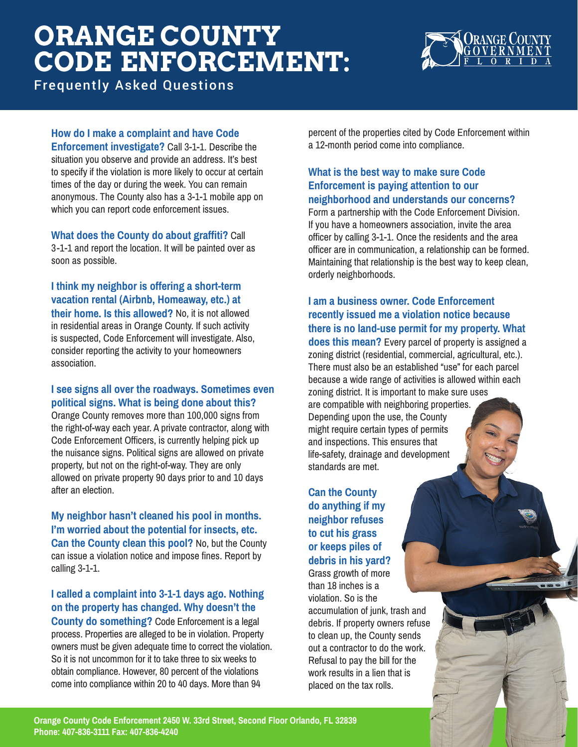# **ORANGE COUNTY CODE ENFORCEMENT:**



Frequently Asked Questions

#### **How do I make a complaint and have Code**

**Enforcement investigate?** Call 3-1-1. Describe the situation you observe and provide an address. It's best to specify if the violation is more likely to occur at certain times of the day or during the week. You can remain anonymous. The County also has a 3-1-1 mobile app on which you can report code enforcement issues.

**What does the County do about graffiti?** Call 3-1-1 and report the location. It will be painted over as soon as possible.

**I think my neighbor is offering a short-term vacation rental (Airbnb, Homeaway, etc.) at their home. Is this allowed?** No, it is not allowed in residential areas in Orange County. If such activity is suspected, Code Enforcement will investigate. Also, consider reporting the activity to your homeowners association.

#### **I see signs all over the roadways. Sometimes even political signs. What is being done about this?**

Orange County removes more than 100,000 signs from the right-of-way each year. A private contractor, along with Code Enforcement Officers, is currently helping pick up the nuisance signs. Political signs are allowed on private property, but not on the right-of-way. They are only allowed on private property 90 days prior to and 10 days after an election.

**My neighbor hasn't cleaned his pool in months. I'm worried about the potential for insects, etc. Can the County clean this pool?** No, but the County can issue a violation notice and impose fines. Report by calling 3-1-1.

### **I called a complaint into 3-1-1 days ago. Nothing on the property has changed. Why doesn't the**

**County do something?** Code Enforcement is a legal process. Properties are alleged to be in violation. Property owners must be given adequate time to correct the violation. So it is not uncommon for it to take three to six weeks to obtain compliance. However, 80 percent of the violations come into compliance within 20 to 40 days. More than 94

percent of the properties cited by Code Enforcement within a 12-month period come into compliance.

#### **What is the best way to make sure Code Enforcement is paying attention to our neighborhood and understands our concerns?**

Form a partnership with the Code Enforcement Division. If you have a homeowners association, invite the area officer by calling 3-1-1. Once the residents and the area officer are in communication, a relationship can be formed. Maintaining that relationship is the best way to keep clean, orderly neighborhoods.

**I am a business owner. Code Enforcement recently issued me a violation notice because there is no land-use permit for my property. What does this mean?** Every parcel of property is assigned a zoning district (residential, commercial, agricultural, etc.). There must also be an established "use" for each parcel because a wide range of activities is allowed within each zoning district. It is important to make sure uses are compatible with neighboring properties. Depending upon the use, the County might require certain types of permits and inspections. This ensures that life-safety, drainage and development

**Can the County do anything if my neighbor refuses to cut his grass or keeps piles of debris in his yard?**  Grass growth of more

standards are met.

than 18 inches is a violation. So is the accumulation of junk, trash and debris. If property owners refuse to clean up, the County sends out a contractor to do the work. Refusal to pay the bill for the work results in a lien that is placed on the tax rolls.